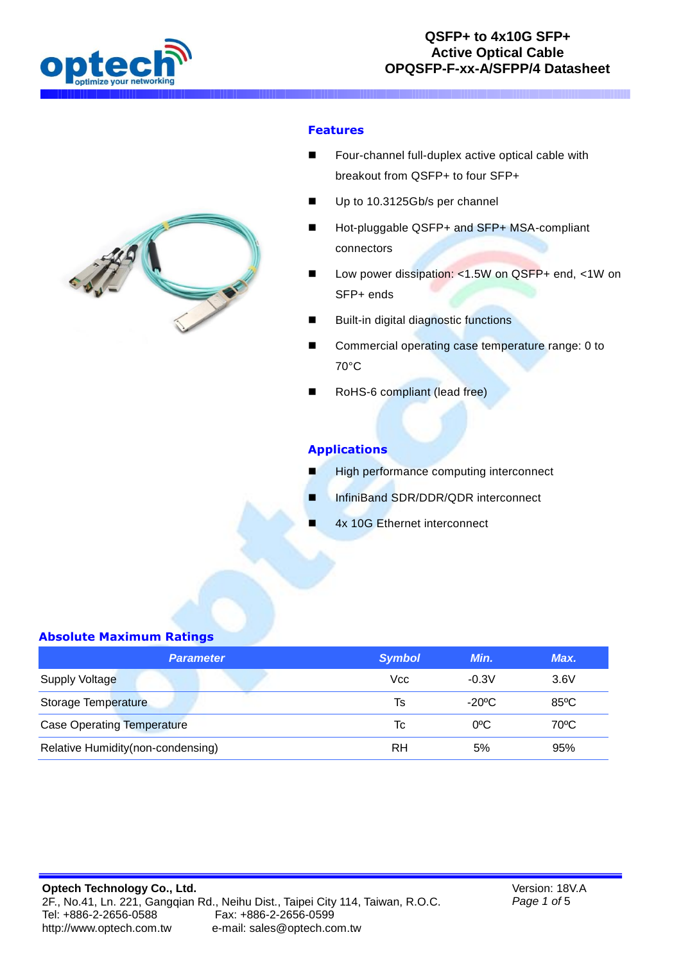



#### **Features**

- Four-channel full-duplex active optical cable with breakout from QSFP+ to four SFP+
- Up to 10.3125Gb/s per channel
- Hot-pluggable QSFP+ and SFP+ MSA-compliant connectors
- Low power dissipation: <1.5W on QSFP+ end, <1W on SFP+ ends
- Built-in digital diagnostic functions
- Commercial operating case temperature range: 0 to 70°C
- RoHS-6 compliant (lead free)

### **Applications**

- High performance computing interconnect
- InfiniBand SDR/DDR/QDR interconnect
	- 4x 10G Ethernet interconnect

### **Absolute Maximum Ratings**

| <b>Parameter</b>                  | <b>Symbol</b> | Min.          | Max.           |
|-----------------------------------|---------------|---------------|----------------|
| <b>Supply Voltage</b>             | Vcc           | $-0.3V$       | 3.6V           |
| <b>Storage Temperature</b>        | Ts            | $-20$ °C      | $85^{\circ}$ C |
| <b>Case Operating Temperature</b> | Tc            | $0^{\circ}$ C | $70^{\circ}$ C |
| Relative Humidity(non-condensing) | RH            | 5%            | 95%            |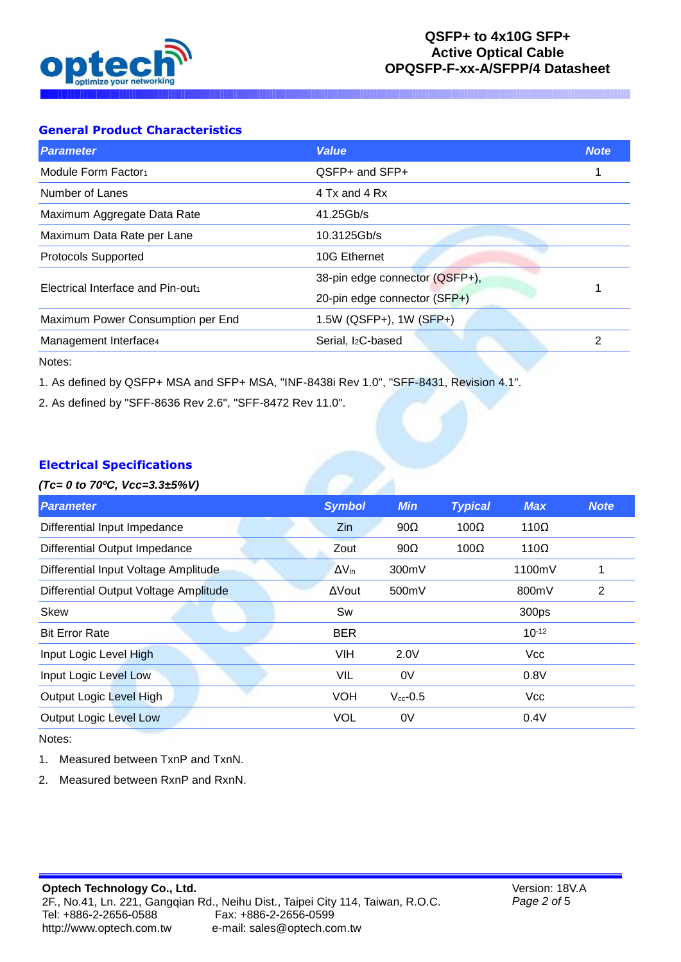

## **General Product Characteristics**

| <b>Parameter</b>                  | <b>Value</b>                   | <b>Note</b> |
|-----------------------------------|--------------------------------|-------------|
| Module Form Factor1               | QSFP+ and SFP+                 |             |
| Number of Lanes                   | 4 Tx and 4 Rx                  |             |
| Maximum Aggregate Data Rate       | 41.25Gb/s                      |             |
| Maximum Data Rate per Lane        | 10.3125Gb/s                    |             |
| <b>Protocols Supported</b>        | 10G Ethernet                   |             |
| Electrical Interface and Pin-out  | 38-pin edge connector (QSFP+), |             |
|                                   | 20-pin edge connector (SFP+)   |             |
| Maximum Power Consumption per End | 1.5W (QSFP+), 1W (SFP+)        |             |
| Management Interface4             | Serial, I <sub>2</sub> C-based | 2           |
|                                   |                                |             |

Notes:

1. As defined by QSFP+ MSA and SFP+ MSA, "INF-8438i Rev 1.0", "SFF-8431, Revision 4.1".

2. As defined by "SFF-8636 Rev 2.6", "SFF-8472 Rev 11.0".

### **Electrical Specifications**

#### *(Tc= 0 to 70ºC, Vcc=3.3±5%V)*

| <b>Symbol</b>   | <b>Min</b>    | <b>Typical</b> | <b>Max</b>  | <b>Note</b> |
|-----------------|---------------|----------------|-------------|-------------|
| Zin             | $90\Omega$    | $100\Omega$    | $110\Omega$ |             |
| Zout            | $90\Omega$    | $100\Omega$    | $110\Omega$ |             |
| $\Delta V_{in}$ | 300mV         |                | 1100mV      | 1           |
| ΔVout           | 500mV         |                | 800mV       | 2           |
| Sw              |               |                | 300ps       |             |
| <b>BER</b>      |               |                | $10^{-12}$  |             |
| <b>VIH</b>      | 2.0V          |                | <b>Vcc</b>  |             |
| VIL             | 0V            |                | 0.8V        |             |
| <b>VOH</b>      | $V_{cc}$ -0.5 |                | <b>Vcc</b>  |             |
| <b>VOL</b>      | 0V            |                | 0.4V        |             |
|                 |               |                |             |             |

**P** 

Notes:

- 1. Measured between TxnP and TxnN.
- 2. Measured between RxnP and RxnN.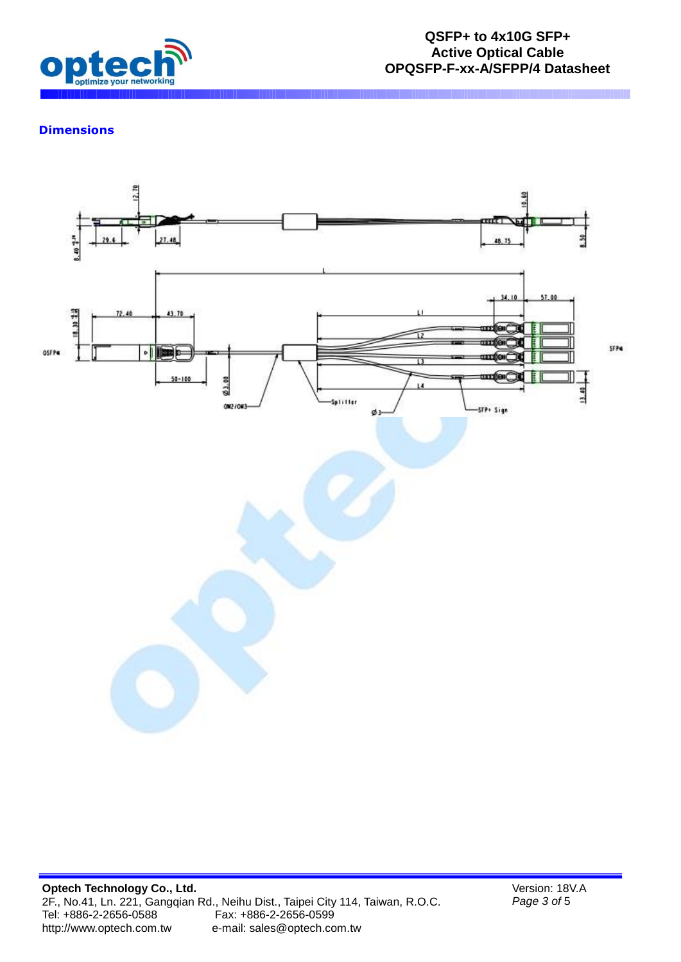

## **Dimensions**

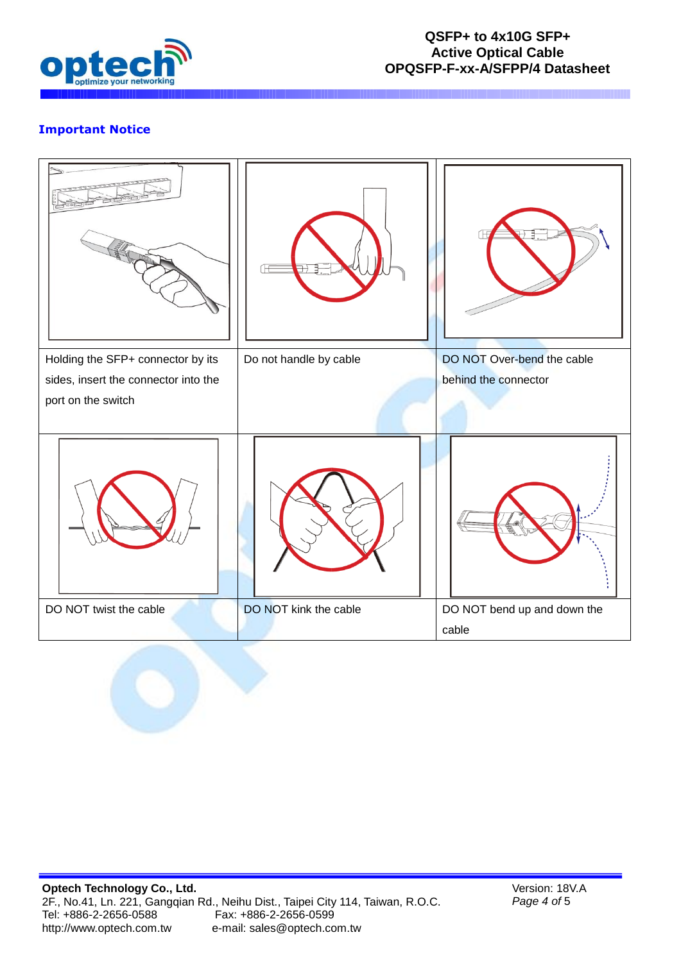

# **Important Notice**